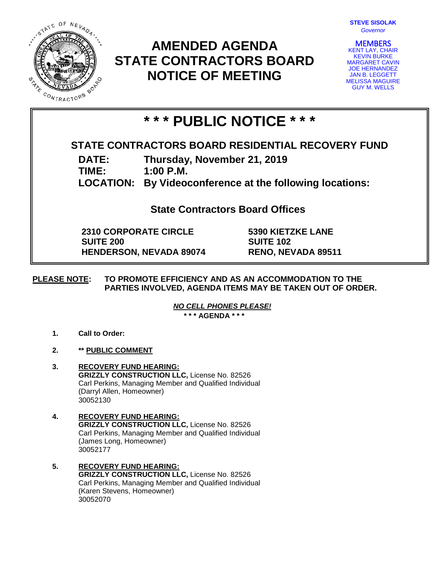

# **AMENDED AGENDA STATE CONTRACTORS BOARD NOTICE OF MEETING**

| <b>STEVE SISOLAK</b> |          |  |
|----------------------|----------|--|
|                      | Governor |  |

**MEMBERS**<br>KENT LAY, CHAIR KEVIN BURKE MARGARET CAVIN JOE HERNANDEZ JAN B. LEGGETT MELISSA MAGUIRE GUY M. WELLS

# **\* \* \* PUBLIC NOTICE \* \* \***

## **STATE CONTRACTORS BOARD RESIDENTIAL RECOVERY FUND**

**DATE: Thursday, November 21, 2019**

**TIME: 1:00 P.M.**

**LOCATION: By Videoconference at the following locations:**

**State Contractors Board Offices**

**2310 CORPORATE CIRCLE SUITE 200 HENDERSON, NEVADA 89074** **5390 KIETZKE LANE SUITE 102 RENO, NEVADA 89511**

## **PLEASE NOTE: TO PROMOTE EFFICIENCY AND AS AN ACCOMMODATION TO THE PARTIES INVOLVED, AGENDA ITEMS MAY BE TAKEN OUT OF ORDER.**

*NO CELL PHONES PLEASE!* 

**\* \* \* AGENDA \* \* \***

- **1. Call to Order:**
- **2. \*\* PUBLIC COMMENT**
- **3. RECOVERY FUND HEARING: GRIZZLY CONSTRUCTION LLC,** License No. 82526 Carl Perkins, Managing Member and Qualified Individual (Darryl Allen, Homeowner) 30052130
- **4. RECOVERY FUND HEARING: GRIZZLY CONSTRUCTION LLC,** License No. 82526 Carl Perkins, Managing Member and Qualified Individual (James Long, Homeowner) 30052177
- **5. RECOVERY FUND HEARING: GRIZZLY CONSTRUCTION LLC,** License No. 82526 Carl Perkins, Managing Member and Qualified Individual (Karen Stevens, Homeowner) 30052070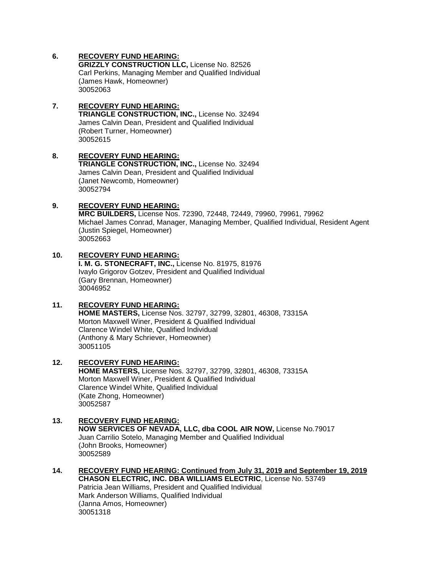## **6. RECOVERY FUND HEARING:**

**GRIZZLY CONSTRUCTION LLC,** License No. 82526 Carl Perkins, Managing Member and Qualified Individual (James Hawk, Homeowner) 30052063

### **7. RECOVERY FUND HEARING: TRIANGLE CONSTRUCTION, INC.,** License No. 32494 James Calvin Dean, President and Qualified Individual (Robert Turner, Homeowner) 30052615

#### **8. RECOVERY FUND HEARING: TRIANGLE CONSTRUCTION, INC.,** License No. 32494 James Calvin Dean, President and Qualified Individual (Janet Newcomb, Homeowner) 30052794

## **9. RECOVERY FUND HEARING:**

**MRC BUILDERS,** License Nos. 72390, 72448, 72449, 79960, 79961, 79962 Michael James Conrad, Manager, Managing Member, Qualified Individual, Resident Agent (Justin Spiegel, Homeowner) 30052663

## **10. RECOVERY FUND HEARING:**

**I. M. G. STONECRAFT, INC.,** License No. 81975, 81976 Ivaylo Grigorov Gotzev, President and Qualified Individual (Gary Brennan, Homeowner) 30046952

## **11. RECOVERY FUND HEARING:**

**HOME MASTERS,** License Nos. 32797, 32799, 32801, 46308, 73315A Morton Maxwell Winer, President & Qualified Individual Clarence Windel White, Qualified Individual (Anthony & Mary Schriever, Homeowner) 30051105

#### **12. RECOVERY FUND HEARING: HOME MASTERS,** License Nos. 32797, 32799, 32801, 46308, 73315A Morton Maxwell Winer, President & Qualified Individual Clarence Windel White, Qualified Individual (Kate Zhong, Homeowner) 30052587

## **13. RECOVERY FUND HEARING:**

**NOW SERVICES OF NEVADA, LLC, dba COOL AIR NOW,** License No.79017 Juan Carrilio Sotelo, Managing Member and Qualified Individual (John Brooks, Homeowner) 30052589

**14. RECOVERY FUND HEARING: Continued from July 31, 2019 and September 19, 2019 CHASON ELECTRIC, INC. DBA WILLIAMS ELECTRIC**, License No. 53749 Patricia Jean Williams, President and Qualified Individual Mark Anderson Williams, Qualified Individual (Janna Amos, Homeowner) 30051318